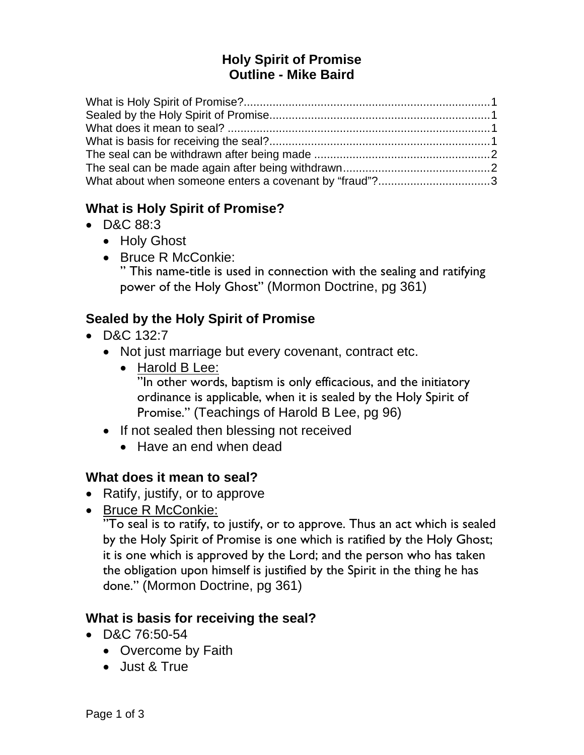### **Holy Spirit of Promise Outline - Mike Baird**

| What about when someone enters a covenant by "fraud"?3 |  |
|--------------------------------------------------------|--|

#### **What is Holy Spirit of Promise?**

- D&C 88:3
	- Holy Ghost
	- Bruce R McConkie:

" This name-title is used in connection with the sealing and ratifying power of the Holy Ghost" (Mormon Doctrine, pg 361)

# **Sealed by the Holy Spirit of Promise**

- D&C 132:7
	- Not just marriage but every covenant, contract etc.
		- Harold B Lee: "In other words, baptism is only efficacious, and the initiatory ordinance is applicable, when it is sealed by the Holy Spirit of Promise." (Teachings of Harold B Lee, pg 96)
	- If not sealed then blessing not received
		- Have an end when dead

### **What does it mean to seal?**

- Ratify, justify, or to approve
- Bruce R McConkie:

"To seal is to ratify, to justify, or to approve. Thus an act which is sealed by the Holy Spirit of Promise is one which is ratified by the Holy Ghost; it is one which is approved by the Lord; and the person who has taken the obligation upon himself is justified by the Spirit in the thing he has done." (Mormon Doctrine, pg 361)

#### **What is basis for receiving the seal?**

- D&C 76:50-54
	- Overcome by Faith
	- Just & True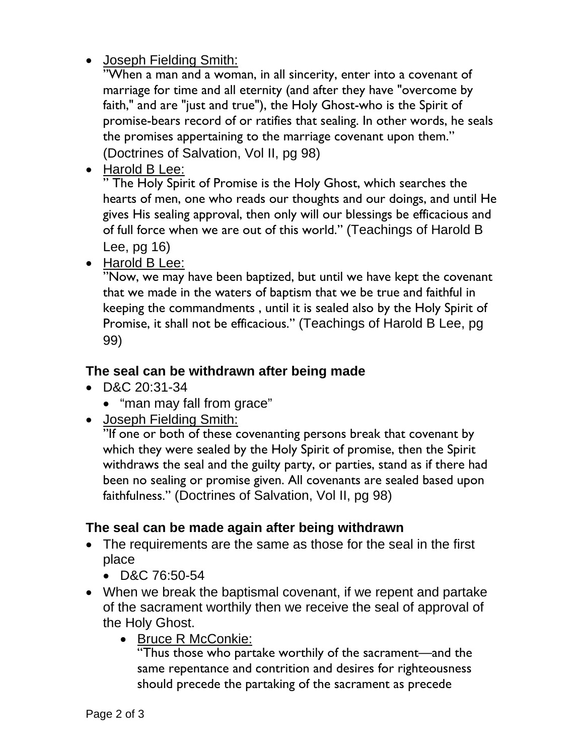Joseph Fielding Smith:

"When a man and a woman, in all sincerity, enter into a covenant of marriage for time and all eternity (and after they have "overcome by faith," and are "just and true"), the Holy Ghost-who is the Spirit of promise-bears record of or ratifies that sealing. In other words, he seals the promises appertaining to the marriage covenant upon them." (Doctrines of Salvation, Vol II, pg 98)

• Harold B Lee:

" The Holy Spirit of Promise is the Holy Ghost, which searches the hearts of men, one who reads our thoughts and our doings, and until He gives His sealing approval, then only will our blessings be efficacious and of full force when we are out of this world." (Teachings of Harold B Lee, pg 16)

• Harold B Lee:

"Now, we may have been baptized, but until we have kept the covenant that we made in the waters of baptism that we be true and faithful in keeping the commandments , until it is sealed also by the Holy Spirit of Promise, it shall not be efficacious." (Teachings of Harold B Lee, pg 99)

#### **The seal can be withdrawn after being made**

- D&C 20:31-34
	- "man may fall from grace"
- Joseph Fielding Smith:

"If one or both of these covenanting persons break that covenant by which they were sealed by the Holy Spirit of promise, then the Spirit withdraws the seal and the guilty party, or parties, stand as if there had been no sealing or promise given. All covenants are sealed based upon faithfulness." (Doctrines of Salvation, Vol II, pg 98)

#### **The seal can be made again after being withdrawn**

- The requirements are the same as those for the seal in the first place
	- D&C 76:50-54
- When we break the baptismal covenant, if we repent and partake of the sacrament worthily then we receive the seal of approval of the Holy Ghost.
	- Bruce R McConkie:

"Thus those who partake worthily of the sacrament—and the same repentance and contrition and desires for righteousness should precede the partaking of the sacrament as precede